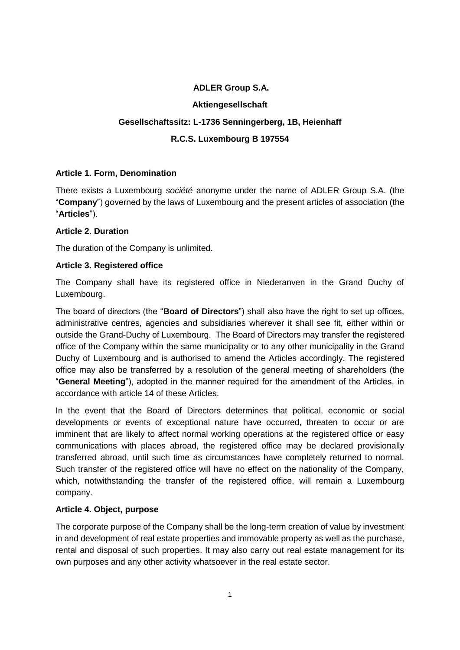# **ADLER Group S.A.**

#### **Aktiengesellschaft**

# **Gesellschaftssitz: L-1736 Senningerberg, 1B, Heienhaff**

### **R.C.S. Luxembourg B 197554**

#### **Article 1. Form, Denomination**

There exists a Luxembourg *société* anonyme under the name of ADLER Group S.A. (the "**Company**") governed by the laws of Luxembourg and the present articles of association (the "**Articles**").

#### **Article 2. Duration**

The duration of the Company is unlimited.

#### **Article 3. Registered office**

The Company shall have its registered office in Niederanven in the Grand Duchy of Luxembourg.

The board of directors (the "**Board of Directors**") shall also have the right to set up offices, administrative centres, agencies and subsidiaries wherever it shall see fit, either within or outside the Grand-Duchy of Luxembourg. The Board of Directors may transfer the registered office of the Company within the same municipality or to any other municipality in the Grand Duchy of Luxembourg and is authorised to amend the Articles accordingly. The registered office may also be transferred by a resolution of the general meeting of shareholders (the "**General Meeting**"), adopted in the manner required for the amendment of the Articles, in accordance with article 14 of these Articles.

In the event that the Board of Directors determines that political, economic or social developments or events of exceptional nature have occurred, threaten to occur or are imminent that are likely to affect normal working operations at the registered office or easy communications with places abroad, the registered office may be declared provisionally transferred abroad, until such time as circumstances have completely returned to normal. Such transfer of the registered office will have no effect on the nationality of the Company, which, notwithstanding the transfer of the registered office, will remain a Luxembourg company.

### **Article 4. Object, purpose**

The corporate purpose of the Company shall be the long-term creation of value by investment in and development of real estate properties and immovable property as well as the purchase, rental and disposal of such properties. It may also carry out real estate management for its own purposes and any other activity whatsoever in the real estate sector.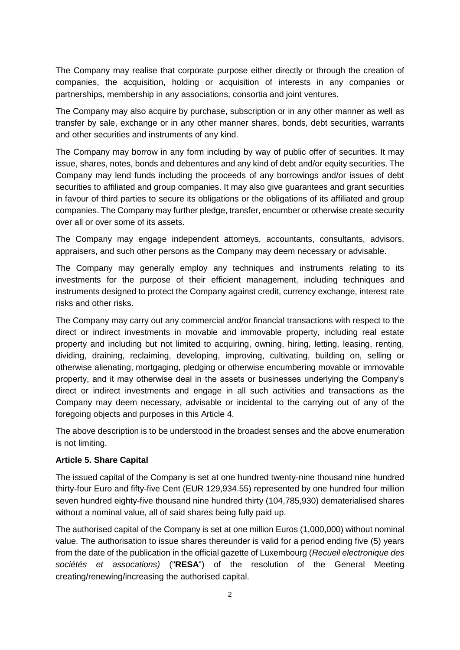The Company may realise that corporate purpose either directly or through the creation of companies, the acquisition, holding or acquisition of interests in any companies or partnerships, membership in any associations, consortia and joint ventures.

The Company may also acquire by purchase, subscription or in any other manner as well as transfer by sale, exchange or in any other manner shares, bonds, debt securities, warrants and other securities and instruments of any kind.

The Company may borrow in any form including by way of public offer of securities. It may issue, shares, notes, bonds and debentures and any kind of debt and/or equity securities. The Company may lend funds including the proceeds of any borrowings and/or issues of debt securities to affiliated and group companies. It may also give guarantees and grant securities in favour of third parties to secure its obligations or the obligations of its affiliated and group companies. The Company may further pledge, transfer, encumber or otherwise create security over all or over some of its assets.

The Company may engage independent attorneys, accountants, consultants, advisors, appraisers, and such other persons as the Company may deem necessary or advisable.

The Company may generally employ any techniques and instruments relating to its investments for the purpose of their efficient management, including techniques and instruments designed to protect the Company against credit, currency exchange, interest rate risks and other risks.

The Company may carry out any commercial and/or financial transactions with respect to the direct or indirect investments in movable and immovable property, including real estate property and including but not limited to acquiring, owning, hiring, letting, leasing, renting, dividing, draining, reclaiming, developing, improving, cultivating, building on, selling or otherwise alienating, mortgaging, pledging or otherwise encumbering movable or immovable property, and it may otherwise deal in the assets or businesses underlying the Company's direct or indirect investments and engage in all such activities and transactions as the Company may deem necessary, advisable or incidental to the carrying out of any of the foregoing objects and purposes in this Article 4.

The above description is to be understood in the broadest senses and the above enumeration is not limiting.

### **Article 5. Share Capital**

The issued capital of the Company is set at one hundred twenty-nine thousand nine hundred thirty-four Euro and fifty-five Cent (EUR 129,934.55) represented by one hundred four million seven hundred eighty-five thousand nine hundred thirty (104,785,930) dematerialised shares without a nominal value, all of said shares being fully paid up.

The authorised capital of the Company is set at one million Euros (1,000,000) without nominal value. The authorisation to issue shares thereunder is valid for a period ending five (5) years from the date of the publication in the official gazette of Luxembourg (*Recueil electronique des sociétés et assocations)* ("**RESA**") of the resolution of the General Meeting creating/renewing/increasing the authorised capital.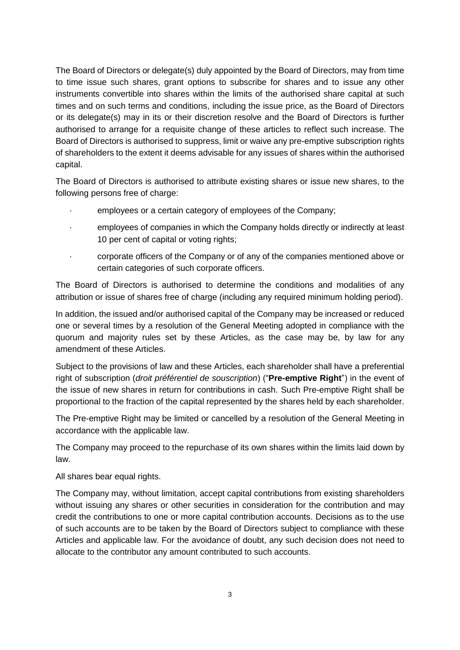The Board of Directors or delegate(s) duly appointed by the Board of Directors, may from time to time issue such shares, grant options to subscribe for shares and to issue any other instruments convertible into shares within the limits of the authorised share capital at such times and on such terms and conditions, including the issue price, as the Board of Directors or its delegate(s) may in its or their discretion resolve and the Board of Directors is further authorised to arrange for a requisite change of these articles to reflect such increase. The Board of Directors is authorised to suppress, limit or waive any pre-emptive subscription rights of shareholders to the extent it deems advisable for any issues of shares within the authorised capital.

The Board of Directors is authorised to attribute existing shares or issue new shares, to the following persons free of charge:

- employees or a certain category of employees of the Company;
- · employees of companies in which the Company holds directly or indirectly at least 10 per cent of capital or voting rights;
- · corporate officers of the Company or of any of the companies mentioned above or certain categories of such corporate officers.

The Board of Directors is authorised to determine the conditions and modalities of any attribution or issue of shares free of charge (including any required minimum holding period).

In addition, the issued and/or authorised capital of the Company may be increased or reduced one or several times by a resolution of the General Meeting adopted in compliance with the quorum and majority rules set by these Articles, as the case may be, by law for any amendment of these Articles.

Subject to the provisions of law and these Articles, each shareholder shall have a preferential right of subscription (*droit préférentiel de souscription*) ("**Pre-emptive Right**") in the event of the issue of new shares in return for contributions in cash. Such Pre-emptive Right shall be proportional to the fraction of the capital represented by the shares held by each shareholder.

The Pre-emptive Right may be limited or cancelled by a resolution of the General Meeting in accordance with the applicable law.

The Company may proceed to the repurchase of its own shares within the limits laid down by law.

All shares bear equal rights.

The Company may, without limitation, accept capital contributions from existing shareholders without issuing any shares or other securities in consideration for the contribution and may credit the contributions to one or more capital contribution accounts. Decisions as to the use of such accounts are to be taken by the Board of Directors subject to compliance with these Articles and applicable law. For the avoidance of doubt, any such decision does not need to allocate to the contributor any amount contributed to such accounts.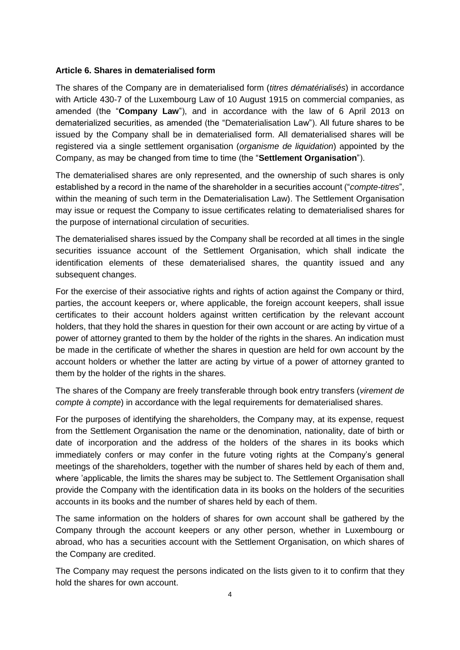#### **Article 6. Shares in dematerialised form**

The shares of the Company are in dematerialised form (*titres dématérialisés*) in accordance with Article 430-7 of the Luxembourg Law of 10 August 1915 on commercial companies, as amended (the "**Company Law**"), and in accordance with the law of 6 April 2013 on dematerialized securities, as amended (the "Dematerialisation Law"). All future shares to be issued by the Company shall be in dematerialised form. All dematerialised shares will be registered via a single settlement organisation (*organisme de liquidation*) appointed by the Company, as may be changed from time to time (the "**Settlement Organisation**").

The dematerialised shares are only represented, and the ownership of such shares is only established by a record in the name of the shareholder in a securities account ("*compte-titres*", within the meaning of such term in the Dematerialisation Law). The Settlement Organisation may issue or request the Company to issue certificates relating to dematerialised shares for the purpose of international circulation of securities.

The dematerialised shares issued by the Company shall be recorded at all times in the single securities issuance account of the Settlement Organisation, which shall indicate the identification elements of these dematerialised shares, the quantity issued and any subsequent changes.

For the exercise of their associative rights and rights of action against the Company or third, parties, the account keepers or, where applicable, the foreign account keepers, shall issue certificates to their account holders against written certification by the relevant account holders, that they hold the shares in question for their own account or are acting by virtue of a power of attorney granted to them by the holder of the rights in the shares. An indication must be made in the certificate of whether the shares in question are held for own account by the account holders or whether the latter are acting by virtue of a power of attorney granted to them by the holder of the rights in the shares.

The shares of the Company are freely transferable through book entry transfers (*virement de compte à compte*) in accordance with the legal requirements for dematerialised shares.

For the purposes of identifying the shareholders, the Company may, at its expense, request from the Settlement Organisation the name or the denomination, nationality, date of birth or date of incorporation and the address of the holders of the shares in its books which immediately confers or may confer in the future voting rights at the Company's general meetings of the shareholders, together with the number of shares held by each of them and, where 'applicable, the limits the shares may be subject to. The Settlement Organisation shall provide the Company with the identification data in its books on the holders of the securities accounts in its books and the number of shares held by each of them.

The same information on the holders of shares for own account shall be gathered by the Company through the account keepers or any other person, whether in Luxembourg or abroad, who has a securities account with the Settlement Organisation, on which shares of the Company are credited.

The Company may request the persons indicated on the lists given to it to confirm that they hold the shares for own account.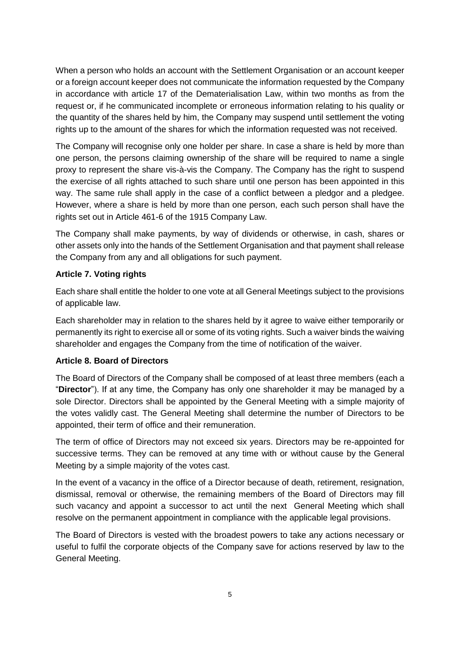When a person who holds an account with the Settlement Organisation or an account keeper or a foreign account keeper does not communicate the information requested by the Company in accordance with article 17 of the Dematerialisation Law, within two months as from the request or, if he communicated incomplete or erroneous information relating to his quality or the quantity of the shares held by him, the Company may suspend until settlement the voting rights up to the amount of the shares for which the information requested was not received.

The Company will recognise only one holder per share. In case a share is held by more than one person, the persons claiming ownership of the share will be required to name a single proxy to represent the share vis-à-vis the Company. The Company has the right to suspend the exercise of all rights attached to such share until one person has been appointed in this way. The same rule shall apply in the case of a conflict between a pledgor and a pledgee. However, where a share is held by more than one person, each such person shall have the rights set out in Article 461-6 of the 1915 Company Law.

The Company shall make payments, by way of dividends or otherwise, in cash, shares or other assets only into the hands of the Settlement Organisation and that payment shall release the Company from any and all obligations for such payment.

# **Article 7. Voting rights**

Each share shall entitle the holder to one vote at all General Meetings subject to the provisions of applicable law.

Each shareholder may in relation to the shares held by it agree to waive either temporarily or permanently its right to exercise all or some of its voting rights. Such a waiver binds the waiving shareholder and engages the Company from the time of notification of the waiver.

### **Article 8. Board of Directors**

The Board of Directors of the Company shall be composed of at least three members (each a "**Director**"). If at any time, the Company has only one shareholder it may be managed by a sole Director. Directors shall be appointed by the General Meeting with a simple majority of the votes validly cast. The General Meeting shall determine the number of Directors to be appointed, their term of office and their remuneration.

The term of office of Directors may not exceed six years. Directors may be re-appointed for successive terms. They can be removed at any time with or without cause by the General Meeting by a simple majority of the votes cast.

In the event of a vacancy in the office of a Director because of death, retirement, resignation, dismissal, removal or otherwise, the remaining members of the Board of Directors may fill such vacancy and appoint a successor to act until the next General Meeting which shall resolve on the permanent appointment in compliance with the applicable legal provisions.

The Board of Directors is vested with the broadest powers to take any actions necessary or useful to fulfil the corporate objects of the Company save for actions reserved by law to the General Meeting.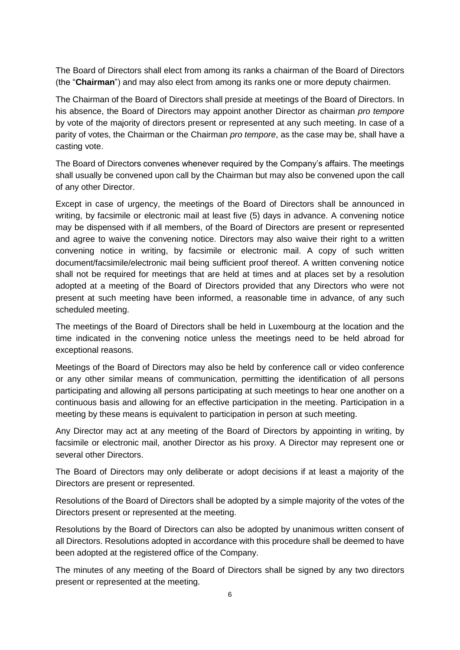The Board of Directors shall elect from among its ranks a chairman of the Board of Directors (the "**Chairman**") and may also elect from among its ranks one or more deputy chairmen.

The Chairman of the Board of Directors shall preside at meetings of the Board of Directors. In his absence, the Board of Directors may appoint another Director as chairman *pro tempore* by vote of the majority of directors present or represented at any such meeting. In case of a parity of votes, the Chairman or the Chairman *pro tempore*, as the case may be, shall have a casting vote.

The Board of Directors convenes whenever required by the Company's affairs. The meetings shall usually be convened upon call by the Chairman but may also be convened upon the call of any other Director.

Except in case of urgency, the meetings of the Board of Directors shall be announced in writing, by facsimile or electronic mail at least five (5) days in advance. A convening notice may be dispensed with if all members, of the Board of Directors are present or represented and agree to waive the convening notice. Directors may also waive their right to a written convening notice in writing, by facsimile or electronic mail. A copy of such written document/facsimile/electronic mail being sufficient proof thereof. A written convening notice shall not be required for meetings that are held at times and at places set by a resolution adopted at a meeting of the Board of Directors provided that any Directors who were not present at such meeting have been informed, a reasonable time in advance, of any such scheduled meeting.

The meetings of the Board of Directors shall be held in Luxembourg at the location and the time indicated in the convening notice unless the meetings need to be held abroad for exceptional reasons.

Meetings of the Board of Directors may also be held by conference call or video conference or any other similar means of communication, permitting the identification of all persons participating and allowing all persons participating at such meetings to hear one another on a continuous basis and allowing for an effective participation in the meeting. Participation in a meeting by these means is equivalent to participation in person at such meeting.

Any Director may act at any meeting of the Board of Directors by appointing in writing, by facsimile or electronic mail, another Director as his proxy. A Director may represent one or several other Directors.

The Board of Directors may only deliberate or adopt decisions if at least a majority of the Directors are present or represented.

Resolutions of the Board of Directors shall be adopted by a simple majority of the votes of the Directors present or represented at the meeting.

Resolutions by the Board of Directors can also be adopted by unanimous written consent of all Directors. Resolutions adopted in accordance with this procedure shall be deemed to have been adopted at the registered office of the Company.

The minutes of any meeting of the Board of Directors shall be signed by any two directors present or represented at the meeting.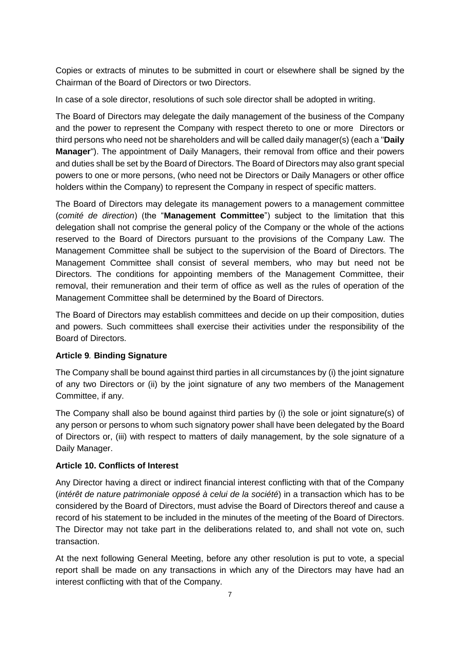Copies or extracts of minutes to be submitted in court or elsewhere shall be signed by the Chairman of the Board of Directors or two Directors.

In case of a sole director, resolutions of such sole director shall be adopted in writing.

The Board of Directors may delegate the daily management of the business of the Company and the power to represent the Company with respect thereto to one or more Directors or third persons who need not be shareholders and will be called daily manager(s) (each a "**Daily Manager**"). The appointment of Daily Managers, their removal from office and their powers and duties shall be set by the Board of Directors. The Board of Directors may also grant special powers to one or more persons, (who need not be Directors or Daily Managers or other office holders within the Company) to represent the Company in respect of specific matters.

The Board of Directors may delegate its management powers to a management committee (*comité de direction*) (the "**Management Committee**") subject to the limitation that this delegation shall not comprise the general policy of the Company or the whole of the actions reserved to the Board of Directors pursuant to the provisions of the Company Law. The Management Committee shall be subject to the supervision of the Board of Directors. The Management Committee shall consist of several members, who may but need not be Directors. The conditions for appointing members of the Management Committee, their removal, their remuneration and their term of office as well as the rules of operation of the Management Committee shall be determined by the Board of Directors.

The Board of Directors may establish committees and decide on up their composition, duties and powers. Such committees shall exercise their activities under the responsibility of the Board of Directors.

### **Article 9***.* **Binding Signature**

The Company shall be bound against third parties in all circumstances by (i) the joint signature of any two Directors or (ii) by the joint signature of any two members of the Management Committee, if any.

The Company shall also be bound against third parties by (i) the sole or joint signature(s) of any person or persons to whom such signatory power shall have been delegated by the Board of Directors or, (iii) with respect to matters of daily management, by the sole signature of a Daily Manager.

# **Article 10. Conflicts of Interest**

Any Director having a direct or indirect financial interest conflicting with that of the Company (*intérêt de nature patrimoniale opposé à celui de la société*) in a transaction which has to be considered by the Board of Directors, must advise the Board of Directors thereof and cause a record of his statement to be included in the minutes of the meeting of the Board of Directors. The Director may not take part in the deliberations related to, and shall not vote on, such transaction.

At the next following General Meeting, before any other resolution is put to vote, a special report shall be made on any transactions in which any of the Directors may have had an interest conflicting with that of the Company.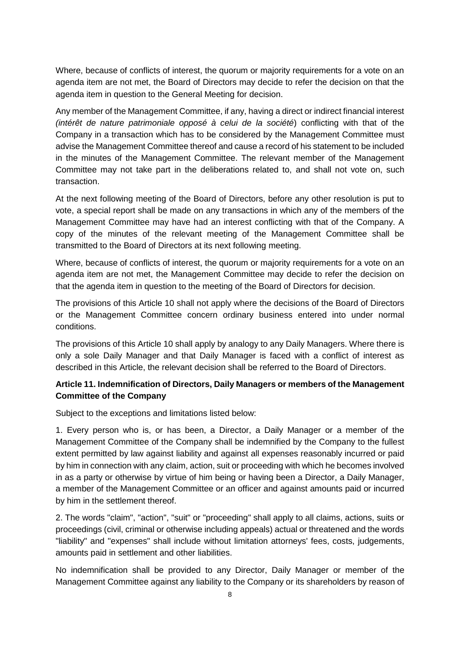Where, because of conflicts of interest, the quorum or majority requirements for a vote on an agenda item are not met, the Board of Directors may decide to refer the decision on that the agenda item in question to the General Meeting for decision.

Any member of the Management Committee, if any, having a direct or indirect financial interest *(intérêt de nature patrimoniale opposé à celui de la société*) conflicting with that of the Company in a transaction which has to be considered by the Management Committee must advise the Management Committee thereof and cause a record of his statement to be included in the minutes of the Management Committee. The relevant member of the Management Committee may not take part in the deliberations related to, and shall not vote on, such transaction.

At the next following meeting of the Board of Directors, before any other resolution is put to vote, a special report shall be made on any transactions in which any of the members of the Management Committee may have had an interest conflicting with that of the Company. A copy of the minutes of the relevant meeting of the Management Committee shall be transmitted to the Board of Directors at its next following meeting.

Where, because of conflicts of interest, the quorum or majority requirements for a vote on an agenda item are not met, the Management Committee may decide to refer the decision on that the agenda item in question to the meeting of the Board of Directors for decision.

The provisions of this Article 10 shall not apply where the decisions of the Board of Directors or the Management Committee concern ordinary business entered into under normal conditions.

The provisions of this Article 10 shall apply by analogy to any Daily Managers. Where there is only a sole Daily Manager and that Daily Manager is faced with a conflict of interest as described in this Article, the relevant decision shall be referred to the Board of Directors.

## **Article 11. Indemnification of Directors, Daily Managers or members of the Management Committee of the Company**

Subject to the exceptions and limitations listed below:

1. Every person who is, or has been, a Director, a Daily Manager or a member of the Management Committee of the Company shall be indemnified by the Company to the fullest extent permitted by law against liability and against all expenses reasonably incurred or paid by him in connection with any claim, action, suit or proceeding with which he becomes involved in as a party or otherwise by virtue of him being or having been a Director, a Daily Manager, a member of the Management Committee or an officer and against amounts paid or incurred by him in the settlement thereof.

2. The words "claim", "action", "suit" or "proceeding" shall apply to all claims, actions, suits or proceedings (civil, criminal or otherwise including appeals) actual or threatened and the words "liability" and "expenses" shall include without limitation attorneys' fees, costs, judgements, amounts paid in settlement and other liabilities.

No indemnification shall be provided to any Director, Daily Manager or member of the Management Committee against any liability to the Company or its shareholders by reason of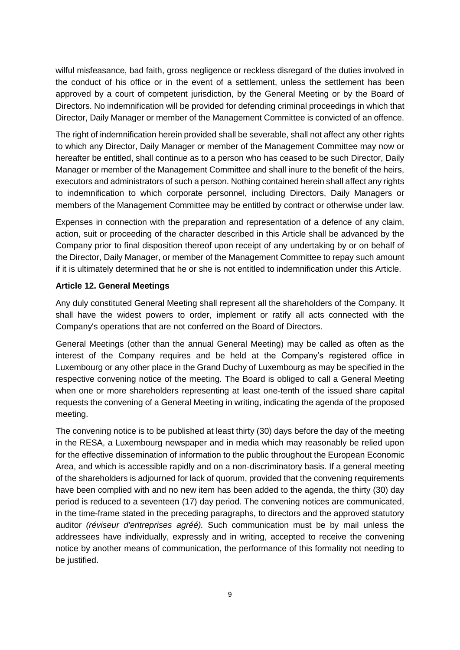wilful misfeasance, bad faith, gross negligence or reckless disregard of the duties involved in the conduct of his office or in the event of a settlement, unless the settlement has been approved by a court of competent jurisdiction, by the General Meeting or by the Board of Directors. No indemnification will be provided for defending criminal proceedings in which that Director, Daily Manager or member of the Management Committee is convicted of an offence.

The right of indemnification herein provided shall be severable, shall not affect any other rights to which any Director, Daily Manager or member of the Management Committee may now or hereafter be entitled, shall continue as to a person who has ceased to be such Director, Daily Manager or member of the Management Committee and shall inure to the benefit of the heirs, executors and administrators of such a person. Nothing contained herein shall affect any rights to indemnification to which corporate personnel, including Directors, Daily Managers or members of the Management Committee may be entitled by contract or otherwise under law.

Expenses in connection with the preparation and representation of a defence of any claim, action, suit or proceeding of the character described in this Article shall be advanced by the Company prior to final disposition thereof upon receipt of any undertaking by or on behalf of the Director, Daily Manager, or member of the Management Committee to repay such amount if it is ultimately determined that he or she is not entitled to indemnification under this Article.

### **Article 12. General Meetings**

Any duly constituted General Meeting shall represent all the shareholders of the Company. It shall have the widest powers to order, implement or ratify all acts connected with the Company's operations that are not conferred on the Board of Directors.

General Meetings (other than the annual General Meeting) may be called as often as the interest of the Company requires and be held at the Company's registered office in Luxembourg or any other place in the Grand Duchy of Luxembourg as may be specified in the respective convening notice of the meeting. The Board is obliged to call a General Meeting when one or more shareholders representing at least one-tenth of the issued share capital requests the convening of a General Meeting in writing, indicating the agenda of the proposed meeting.

The convening notice is to be published at least thirty (30) days before the day of the meeting in the RESA, a Luxembourg newspaper and in media which may reasonably be relied upon for the effective dissemination of information to the public throughout the European Economic Area, and which is accessible rapidly and on a non-discriminatory basis. If a general meeting of the shareholders is adjourned for lack of quorum, provided that the convening requirements have been complied with and no new item has been added to the agenda, the thirty (30) day period is reduced to a seventeen (17) day period. The convening notices are communicated, in the time-frame stated in the preceding paragraphs, to directors and the approved statutory auditor *(réviseur d'entreprises agréé).* Such communication must be by mail unless the addressees have individually, expressly and in writing, accepted to receive the convening notice by another means of communication, the performance of this formality not needing to be justified.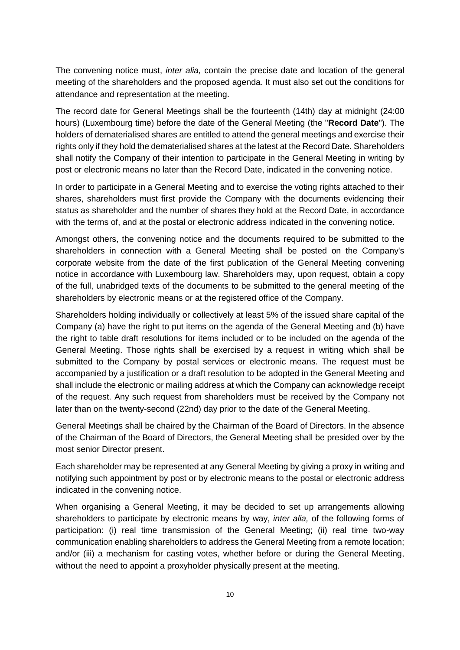The convening notice must, *inter alia,* contain the precise date and location of the general meeting of the shareholders and the proposed agenda. It must also set out the conditions for attendance and representation at the meeting.

The record date for General Meetings shall be the fourteenth (14th) day at midnight (24:00 hours) (Luxembourg time) before the date of the General Meeting (the "**Record Date**"). The holders of dematerialised shares are entitled to attend the general meetings and exercise their rights only if they hold the dematerialised shares at the latest at the Record Date. Shareholders shall notify the Company of their intention to participate in the General Meeting in writing by post or electronic means no later than the Record Date, indicated in the convening notice.

In order to participate in a General Meeting and to exercise the voting rights attached to their shares, shareholders must first provide the Company with the documents evidencing their status as shareholder and the number of shares they hold at the Record Date, in accordance with the terms of, and at the postal or electronic address indicated in the convening notice.

Amongst others, the convening notice and the documents required to be submitted to the shareholders in connection with a General Meeting shall be posted on the Company's corporate website from the date of the first publication of the General Meeting convening notice in accordance with Luxembourg law. Shareholders may, upon request, obtain a copy of the full, unabridged texts of the documents to be submitted to the general meeting of the shareholders by electronic means or at the registered office of the Company.

Shareholders holding individually or collectively at least 5% of the issued share capital of the Company (a) have the right to put items on the agenda of the General Meeting and (b) have the right to table draft resolutions for items included or to be included on the agenda of the General Meeting. Those rights shall be exercised by a request in writing which shall be submitted to the Company by postal services or electronic means. The request must be accompanied by a justification or a draft resolution to be adopted in the General Meeting and shall include the electronic or mailing address at which the Company can acknowledge receipt of the request. Any such request from shareholders must be received by the Company not later than on the twenty-second (22nd) day prior to the date of the General Meeting.

General Meetings shall be chaired by the Chairman of the Board of Directors. In the absence of the Chairman of the Board of Directors, the General Meeting shall be presided over by the most senior Director present.

Each shareholder may be represented at any General Meeting by giving a proxy in writing and notifying such appointment by post or by electronic means to the postal or electronic address indicated in the convening notice.

When organising a General Meeting, it may be decided to set up arrangements allowing shareholders to participate by electronic means by way, *inter alia,* of the following forms of participation: (i) real time transmission of the General Meeting; (ii) real time two-way communication enabling shareholders to address the General Meeting from a remote location; and/or (iii) a mechanism for casting votes, whether before or during the General Meeting, without the need to appoint a proxyholder physically present at the meeting.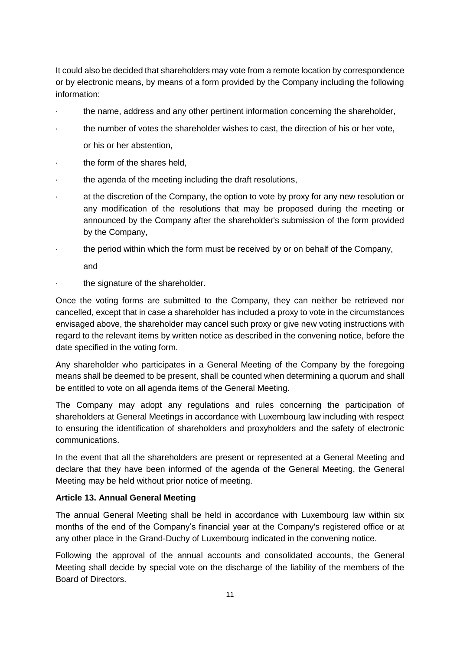It could also be decided that shareholders may vote from a remote location by correspondence or by electronic means, by means of a form provided by the Company including the following information:

- · the name, address and any other pertinent information concerning the shareholder,
- the number of votes the shareholder wishes to cast, the direction of his or her vote, or his or her abstention,
- the form of the shares held.
- the agenda of the meeting including the draft resolutions,
- · at the discretion of the Company, the option to vote by proxy for any new resolution or any modification of the resolutions that may be proposed during the meeting or announced by the Company after the shareholder's submission of the form provided by the Company,
- · the period within which the form must be received by or on behalf of the Company, and
- the signature of the shareholder.

Once the voting forms are submitted to the Company, they can neither be retrieved nor cancelled, except that in case a shareholder has included a proxy to vote in the circumstances envisaged above, the shareholder may cancel such proxy or give new voting instructions with regard to the relevant items by written notice as described in the convening notice, before the date specified in the voting form.

Any shareholder who participates in a General Meeting of the Company by the foregoing means shall be deemed to be present, shall be counted when determining a quorum and shall be entitled to vote on all agenda items of the General Meeting.

The Company may adopt any regulations and rules concerning the participation of shareholders at General Meetings in accordance with Luxembourg law including with respect to ensuring the identification of shareholders and proxyholders and the safety of electronic communications.

In the event that all the shareholders are present or represented at a General Meeting and declare that they have been informed of the agenda of the General Meeting, the General Meeting may be held without prior notice of meeting.

### **Article 13. Annual General Meeting**

The annual General Meeting shall be held in accordance with Luxembourg law within six months of the end of the Company's financial year at the Company's registered office or at any other place in the Grand-Duchy of Luxembourg indicated in the convening notice.

Following the approval of the annual accounts and consolidated accounts, the General Meeting shall decide by special vote on the discharge of the liability of the members of the Board of Directors.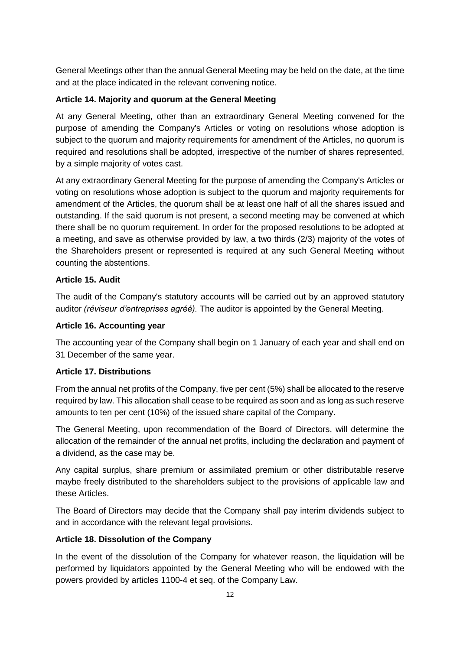General Meetings other than the annual General Meeting may be held on the date, at the time and at the place indicated in the relevant convening notice.

## **Article 14. Majority and quorum at the General Meeting**

At any General Meeting, other than an extraordinary General Meeting convened for the purpose of amending the Company's Articles or voting on resolutions whose adoption is subject to the quorum and majority requirements for amendment of the Articles, no quorum is required and resolutions shall be adopted, irrespective of the number of shares represented, by a simple majority of votes cast.

At any extraordinary General Meeting for the purpose of amending the Company's Articles or voting on resolutions whose adoption is subject to the quorum and majority requirements for amendment of the Articles, the quorum shall be at least one half of all the shares issued and outstanding. If the said quorum is not present, a second meeting may be convened at which there shall be no quorum requirement. In order for the proposed resolutions to be adopted at a meeting, and save as otherwise provided by law, a two thirds (2/3) majority of the votes of the Shareholders present or represented is required at any such General Meeting without counting the abstentions.

## **Article 15. Audit**

The audit of the Company's statutory accounts will be carried out by an approved statutory auditor *(réviseur d'entreprises agréé).* The auditor is appointed by the General Meeting.

### **Article 16. Accounting year**

The accounting year of the Company shall begin on 1 January of each year and shall end on 31 December of the same year.

### **Article 17. Distributions**

From the annual net profits of the Company, five per cent (5%) shall be allocated to the reserve required by law. This allocation shall cease to be required as soon and as long as such reserve amounts to ten per cent (10%) of the issued share capital of the Company.

The General Meeting, upon recommendation of the Board of Directors, will determine the allocation of the remainder of the annual net profits, including the declaration and payment of a dividend, as the case may be.

Any capital surplus, share premium or assimilated premium or other distributable reserve maybe freely distributed to the shareholders subject to the provisions of applicable law and these Articles.

The Board of Directors may decide that the Company shall pay interim dividends subject to and in accordance with the relevant legal provisions.

# **Article 18. Dissolution of the Company**

In the event of the dissolution of the Company for whatever reason, the liquidation will be performed by liquidators appointed by the General Meeting who will be endowed with the powers provided by articles 1100-4 et seq. of the Company Law.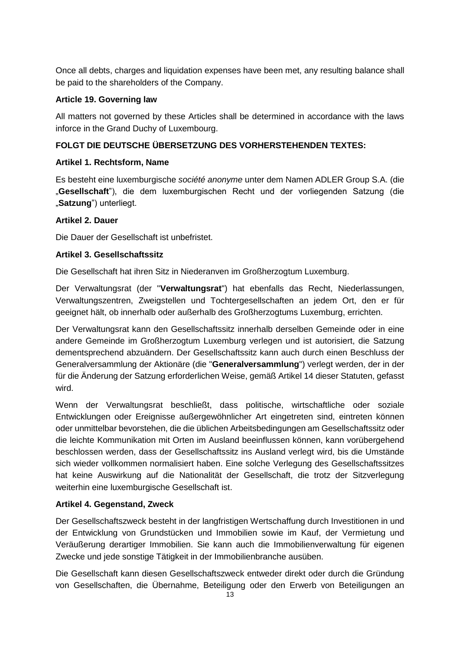Once all debts, charges and liquidation expenses have been met, any resulting balance shall be paid to the shareholders of the Company.

## **Article 19. Governing law**

All matters not governed by these Articles shall be determined in accordance with the laws inforce in the Grand Duchy of Luxembourg.

# **FOLGT DIE DEUTSCHE ÜBERSETZUNG DES VORHERSTEHENDEN TEXTES:**

### **Artikel 1. Rechtsform, Name**

Es besteht eine luxemburgische *société anonyme* unter dem Namen ADLER Group S.A. (die "**Gesellschaft**"), die dem luxemburgischen Recht und der vorliegenden Satzung (die "Satzung") unterliegt.

## **Artikel 2. Dauer**

Die Dauer der Gesellschaft ist unbefristet.

## **Artikel 3. Gesellschaftssitz**

Die Gesellschaft hat ihren Sitz in Niederanven im Großherzogtum Luxemburg.

Der Verwaltungsrat (der "**Verwaltungsrat**") hat ebenfalls das Recht, Niederlassungen, Verwaltungszentren, Zweigstellen und Tochtergesellschaften an jedem Ort, den er für geeignet hält, ob innerhalb oder außerhalb des Großherzogtums Luxemburg, errichten.

Der Verwaltungsrat kann den Gesellschaftssitz innerhalb derselben Gemeinde oder in eine andere Gemeinde im Großherzogtum Luxemburg verlegen und ist autorisiert, die Satzung dementsprechend abzuändern. Der Gesellschaftssitz kann auch durch einen Beschluss der Generalversammlung der Aktionäre (die "**Generalversammlung**") verlegt werden, der in der für die Änderung der Satzung erforderlichen Weise, gemäß Artikel 14 dieser Statuten, gefasst wird.

Wenn der Verwaltungsrat beschließt, dass politische, wirtschaftliche oder soziale Entwicklungen oder Ereignisse außergewöhnlicher Art eingetreten sind, eintreten können oder unmittelbar bevorstehen, die die üblichen Arbeitsbedingungen am Gesellschaftssitz oder die leichte Kommunikation mit Orten im Ausland beeinflussen können, kann vorübergehend beschlossen werden, dass der Gesellschaftssitz ins Ausland verlegt wird, bis die Umstände sich wieder vollkommen normalisiert haben. Eine solche Verlegung des Gesellschaftssitzes hat keine Auswirkung auf die Nationalität der Gesellschaft, die trotz der Sitzverlegung weiterhin eine luxemburgische Gesellschaft ist.

# **Artikel 4. Gegenstand, Zweck**

Der Gesellschaftszweck besteht in der langfristigen Wertschaffung durch Investitionen in und der Entwicklung von Grundstücken und Immobilien sowie im Kauf, der Vermietung und Veräußerung derartiger Immobilien. Sie kann auch die Immobilienverwaltung für eigenen Zwecke und jede sonstige Tätigkeit in der Immobilienbranche ausüben.

Die Gesellschaft kann diesen Gesellschaftszweck entweder direkt oder durch die Gründung von Gesellschaften, die Übernahme, Beteiligung oder den Erwerb von Beteiligungen an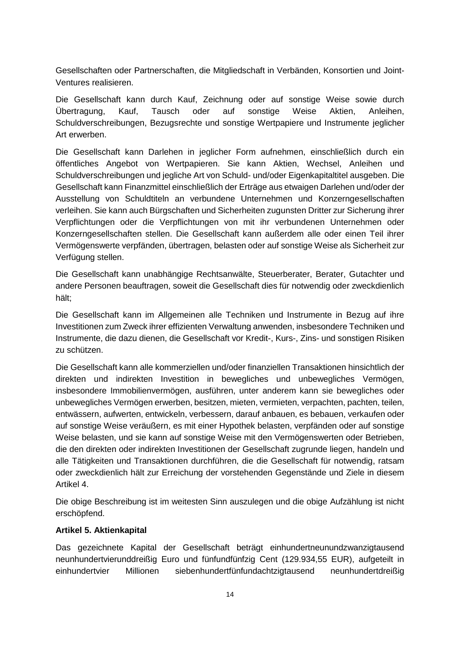Gesellschaften oder Partnerschaften, die Mitgliedschaft in Verbänden, Konsortien und Joint-Ventures realisieren.

Die Gesellschaft kann durch Kauf, Zeichnung oder auf sonstige Weise sowie durch Übertragung, Kauf, Tausch oder auf sonstige Weise Aktien, Anleihen, Schuldverschreibungen, Bezugsrechte und sonstige Wertpapiere und Instrumente jeglicher Art erwerben.

Die Gesellschaft kann Darlehen in jeglicher Form aufnehmen, einschließlich durch ein öffentliches Angebot von Wertpapieren. Sie kann Aktien, Wechsel, Anleihen und Schuldverschreibungen und jegliche Art von Schuld- und/oder Eigenkapitaltitel ausgeben. Die Gesellschaft kann Finanzmittel einschließlich der Erträge aus etwaigen Darlehen und/oder der Ausstellung von Schuldtiteln an verbundene Unternehmen und Konzerngesellschaften verleihen. Sie kann auch Bürgschaften und Sicherheiten zugunsten Dritter zur Sicherung ihrer Verpflichtungen oder die Verpflichtungen von mit ihr verbundenen Unternehmen oder Konzerngesellschaften stellen. Die Gesellschaft kann außerdem alle oder einen Teil ihrer Vermögenswerte verpfänden, übertragen, belasten oder auf sonstige Weise als Sicherheit zur Verfügung stellen.

Die Gesellschaft kann unabhängige Rechtsanwälte, Steuerberater, Berater, Gutachter und andere Personen beauftragen, soweit die Gesellschaft dies für notwendig oder zweckdienlich hält;

Die Gesellschaft kann im Allgemeinen alle Techniken und Instrumente in Bezug auf ihre Investitionen zum Zweck ihrer effizienten Verwaltung anwenden, insbesondere Techniken und Instrumente, die dazu dienen, die Gesellschaft vor Kredit-, Kurs-, Zins- und sonstigen Risiken zu schützen.

Die Gesellschaft kann alle kommerziellen und/oder finanziellen Transaktionen hinsichtlich der direkten und indirekten Investition in bewegliches und unbewegliches Vermögen, insbesondere Immobilienvermögen, ausführen, unter anderem kann sie bewegliches oder unbewegliches Vermögen erwerben, besitzen, mieten, vermieten, verpachten, pachten, teilen, entwässern, aufwerten, entwickeln, verbessern, darauf anbauen, es bebauen, verkaufen oder auf sonstige Weise veräußern, es mit einer Hypothek belasten, verpfänden oder auf sonstige Weise belasten, und sie kann auf sonstige Weise mit den Vermögenswerten oder Betrieben, die den direkten oder indirekten Investitionen der Gesellschaft zugrunde liegen, handeln und alle Tätigkeiten und Transaktionen durchführen, die die Gesellschaft für notwendig, ratsam oder zweckdienlich hält zur Erreichung der vorstehenden Gegenstände und Ziele in diesem Artikel 4.

Die obige Beschreibung ist im weitesten Sinn auszulegen und die obige Aufzählung ist nicht erschöpfend.

### **Artikel 5. Aktienkapital**

Das gezeichnete Kapital der Gesellschaft beträgt einhundertneunundzwanzigtausend neunhundertvierunddreißig Euro und fünfundfünfzig Cent (129.934,55 EUR), aufgeteilt in einhundertvier Millionen siebenhundertfünfundachtzigtausend neunhundertdreißig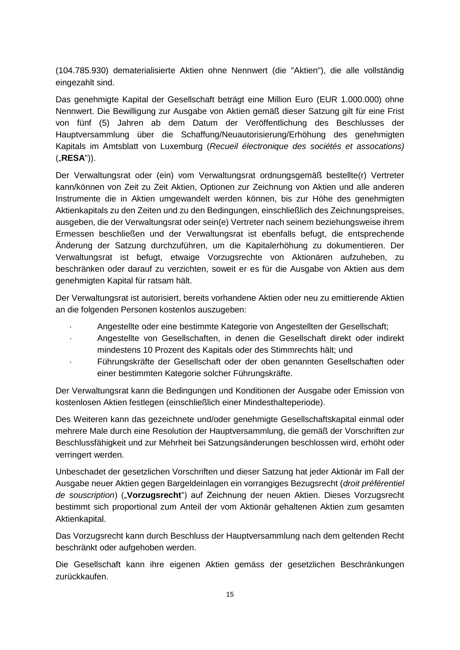(104.785.930) dematerialisierte Aktien ohne Nennwert (die "Aktien"), die alle vollständig eingezahlt sind.

Das genehmigte Kapital der Gesellschaft beträgt eine Million Euro (EUR 1.000.000) ohne Nennwert. Die Bewilligung zur Ausgabe von Aktien gemäß dieser Satzung gilt für eine Frist von fünf (5) Jahren ab dem Datum der Veröffentlichung des Beschlusses der Hauptversammlung über die Schaffung/Neuautorisierung/Erhöhung des genehmigten Kapitals im Amtsblatt von Luxemburg (*Recueil électronique des sociétés et assocations)* ("**RESA**")).

Der Verwaltungsrat oder (ein) vom Verwaltungsrat ordnungsgemäß bestellte(r) Vertreter kann/können von Zeit zu Zeit Aktien, Optionen zur Zeichnung von Aktien und alle anderen Instrumente die in Aktien umgewandelt werden können, bis zur Höhe des genehmigten Aktienkapitals zu den Zeiten und zu den Bedingungen, einschließlich des Zeichnungspreises, ausgeben, die der Verwaltungsrat oder sein(e) Vertreter nach seinem beziehungsweise ihrem Ermessen beschließen und der Verwaltungsrat ist ebenfalls befugt, die entsprechende Änderung der Satzung durchzuführen, um die Kapitalerhöhung zu dokumentieren. Der Verwaltungsrat ist befugt, etwaige Vorzugsrechte von Aktionären aufzuheben, zu beschränken oder darauf zu verzichten, soweit er es für die Ausgabe von Aktien aus dem genehmigten Kapital für ratsam hält.

Der Verwaltungsrat ist autorisiert, bereits vorhandene Aktien oder neu zu emittierende Aktien an die folgenden Personen kostenlos auszugeben:

- · Angestellte oder eine bestimmte Kategorie von Angestellten der Gesellschaft;
- · Angestellte von Gesellschaften, in denen die Gesellschaft direkt oder indirekt mindestens 10 Prozent des Kapitals oder des Stimmrechts hält; und
- · Führungskräfte der Gesellschaft oder der oben genannten Gesellschaften oder einer bestimmten Kategorie solcher Führungskräfte.

Der Verwaltungsrat kann die Bedingungen und Konditionen der Ausgabe oder Emission von kostenlosen Aktien festlegen (einschließlich einer Mindesthalteperiode).

Des Weiteren kann das gezeichnete und/oder genehmigte Gesellschaftskapital einmal oder mehrere Male durch eine Resolution der Hauptversammlung, die gemäß der Vorschriften zur Beschlussfähigkeit und zur Mehrheit bei Satzungsänderungen beschlossen wird, erhöht oder verringert werden.

Unbeschadet der gesetzlichen Vorschriften und dieser Satzung hat jeder Aktionär im Fall der Ausgabe neuer Aktien gegen Bargeldeinlagen ein vorrangiges Bezugsrecht (*droit préférentiel de souscription*) ("**Vorzugsrecht**") auf Zeichnung der neuen Aktien. Dieses Vorzugsrecht bestimmt sich proportional zum Anteil der vom Aktionär gehaltenen Aktien zum gesamten Aktienkapital.

Das Vorzugsrecht kann durch Beschluss der Hauptversammlung nach dem geltenden Recht beschränkt oder aufgehoben werden.

Die Gesellschaft kann ihre eigenen Aktien gemäss der gesetzlichen Beschränkungen zurückkaufen.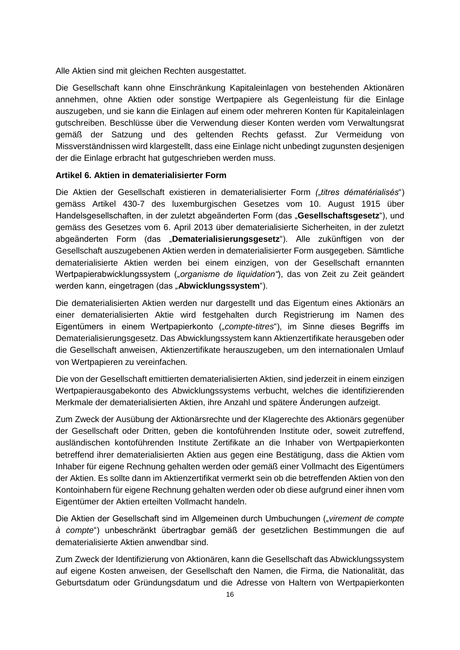Alle Aktien sind mit gleichen Rechten ausgestattet.

Die Gesellschaft kann ohne Einschränkung Kapitaleinlagen von bestehenden Aktionären annehmen, ohne Aktien oder sonstige Wertpapiere als Gegenleistung für die Einlage auszugeben, und sie kann die Einlagen auf einem oder mehreren Konten für Kapitaleinlagen gutschreiben. Beschlüsse über die Verwendung dieser Konten werden vom Verwaltungsrat gemäß der Satzung und des geltenden Rechts gefasst. Zur Vermeidung von Missverständnissen wird klargestellt, dass eine Einlage nicht unbedingt zugunsten desjenigen der die Einlage erbracht hat gutgeschrieben werden muss.

## **Artikel 6. Aktien in dematerialisierter Form**

Die Aktien der Gesellschaft existieren in dematerialisierter Form *(.titres dématérialisés*") gemäss Artikel 430-7 des luxemburgischen Gesetzes vom 10. August 1915 über Handelsgesellschaften, in der zuletzt abgeänderten Form (das "**Gesellschaftsgesetz**"), und gemäss des Gesetzes vom 6. April 2013 über dematerialisierte Sicherheiten, in der zuletzt abgeänderten Form (das "**Dematerialisierungsgesetz**"). Alle zukünftigen von der Gesellschaft auszugebenen Aktien werden in dematerialisierter Form ausgegeben. Sämtliche dematerialisierte Aktien werden bei einem einzigen, von der Gesellschaft ernannten Wertpapierabwicklungssystem ("organisme de liquidation"), das von Zeit zu Zeit geändert werden kann, eingetragen (das "Abwicklungssystem").

Die dematerialisierten Aktien werden nur dargestellt und das Eigentum eines Aktionärs an einer dematerialisierten Aktie wird festgehalten durch Registrierung im Namen des Eigentümers in einem Wertpapierkonto ("*compte-titres*"), im Sinne dieses Begriffs im Dematerialisierungsgesetz. Das Abwicklungssystem kann Aktienzertifikate herausgeben oder die Gesellschaft anweisen, Aktienzertifikate herauszugeben, um den internationalen Umlauf von Wertpapieren zu vereinfachen.

Die von der Gesellschaft emittierten dematerialisierten Aktien, sind jederzeit in einem einzigen Wertpapierausgabekonto des Abwicklungssystems verbucht, welches die identifizierenden Merkmale der dematerialisierten Aktien, ihre Anzahl und spätere Änderungen aufzeigt.

Zum Zweck der Ausübung der Aktionärsrechte und der Klagerechte des Aktionärs gegenüber der Gesellschaft oder Dritten, geben die kontoführenden Institute oder, soweit zutreffend, ausländischen kontoführenden Institute Zertifikate an die Inhaber von Wertpapierkonten betreffend ihrer dematerialisierten Aktien aus gegen eine Bestätigung, dass die Aktien vom Inhaber für eigene Rechnung gehalten werden oder gemäß einer Vollmacht des Eigentümers der Aktien. Es sollte dann im Aktienzertifikat vermerkt sein ob die betreffenden Aktien von den Kontoinhabern für eigene Rechnung gehalten werden oder ob diese aufgrund einer ihnen vom Eigentümer der Aktien erteilten Vollmacht handeln.

Die Aktien der Gesellschaft sind im Allgemeinen durch Umbuchungen ("*virement de compte à compte*") unbeschränkt übertragbar gemäß der gesetzlichen Bestimmungen die auf dematerialisierte Aktien anwendbar sind.

Zum Zweck der Identifizierung von Aktionären, kann die Gesellschaft das Abwicklungssystem auf eigene Kosten anweisen, der Gesellschaft den Namen, die Firma, die Nationalität, das Geburtsdatum oder Gründungsdatum und die Adresse von Haltern von Wertpapierkonten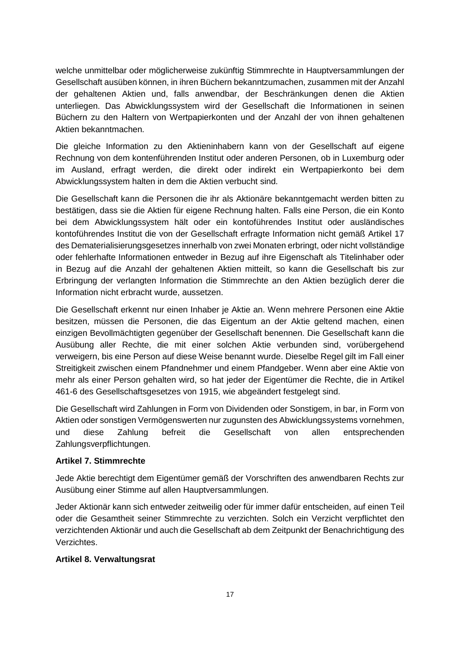welche unmittelbar oder möglicherweise zukünftig Stimmrechte in Hauptversammlungen der Gesellschaft ausüben können, in ihren Büchern bekanntzumachen, zusammen mit der Anzahl der gehaltenen Aktien und, falls anwendbar, der Beschränkungen denen die Aktien unterliegen. Das Abwicklungssystem wird der Gesellschaft die Informationen in seinen Büchern zu den Haltern von Wertpapierkonten und der Anzahl der von ihnen gehaltenen Aktien bekanntmachen.

Die gleiche Information zu den Aktieninhabern kann von der Gesellschaft auf eigene Rechnung von dem kontenführenden Institut oder anderen Personen, ob in Luxemburg oder im Ausland, erfragt werden, die direkt oder indirekt ein Wertpapierkonto bei dem Abwicklungssystem halten in dem die Aktien verbucht sind.

Die Gesellschaft kann die Personen die ihr als Aktionäre bekanntgemacht werden bitten zu bestätigen, dass sie die Aktien für eigene Rechnung halten. Falls eine Person, die ein Konto bei dem Abwicklungssystem hält oder ein kontoführendes Institut oder ausländisches kontoführendes Institut die von der Gesellschaft erfragte Information nicht gemäß Artikel 17 des Dematerialisierungsgesetzes innerhalb von zwei Monaten erbringt, oder nicht vollständige oder fehlerhafte Informationen entweder in Bezug auf ihre Eigenschaft als Titelinhaber oder in Bezug auf die Anzahl der gehaltenen Aktien mitteilt, so kann die Gesellschaft bis zur Erbringung der verlangten Information die Stimmrechte an den Aktien bezüglich derer die Information nicht erbracht wurde, aussetzen.

Die Gesellschaft erkennt nur einen Inhaber je Aktie an. Wenn mehrere Personen eine Aktie besitzen, müssen die Personen, die das Eigentum an der Aktie geltend machen, einen einzigen Bevollmächtigten gegenüber der Gesellschaft benennen. Die Gesellschaft kann die Ausübung aller Rechte, die mit einer solchen Aktie verbunden sind, vorübergehend verweigern, bis eine Person auf diese Weise benannt wurde. Dieselbe Regel gilt im Fall einer Streitigkeit zwischen einem Pfandnehmer und einem Pfandgeber. Wenn aber eine Aktie von mehr als einer Person gehalten wird, so hat jeder der Eigentümer die Rechte, die in Artikel 461-6 des Gesellschaftsgesetzes von 1915, wie abgeändert festgelegt sind.

Die Gesellschaft wird Zahlungen in Form von Dividenden oder Sonstigem, in bar, in Form von Aktien oder sonstigen Vermögenswerten nur zugunsten des Abwicklungssystems vornehmen, und diese Zahlung befreit die Gesellschaft von allen entsprechenden Zahlungsverpflichtungen.

### **Artikel 7. Stimmrechte**

Jede Aktie berechtigt dem Eigentümer gemäß der Vorschriften des anwendbaren Rechts zur Ausübung einer Stimme auf allen Hauptversammlungen.

Jeder Aktionär kann sich entweder zeitweilig oder für immer dafür entscheiden, auf einen Teil oder die Gesamtheit seiner Stimmrechte zu verzichten. Solch ein Verzicht verpflichtet den verzichtenden Aktionär und auch die Gesellschaft ab dem Zeitpunkt der Benachrichtigung des Verzichtes.

### **Artikel 8. Verwaltungsrat**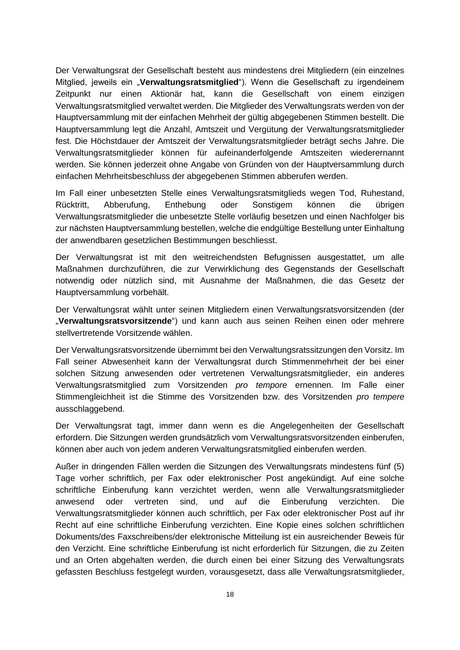Der Verwaltungsrat der Gesellschaft besteht aus mindestens drei Mitgliedern (ein einzelnes Mitglied, jeweils ein "**Verwaltungsratsmitglied**"). Wenn die Gesellschaft zu irgendeinem Zeitpunkt nur einen Aktionär hat, kann die Gesellschaft von einem einzigen Verwaltungsratsmitglied verwaltet werden. Die Mitglieder des Verwaltungsrats werden von der Hauptversammlung mit der einfachen Mehrheit der gültig abgegebenen Stimmen bestellt. Die Hauptversammlung legt die Anzahl, Amtszeit und Vergütung der Verwaltungsratsmitglieder fest. Die Höchstdauer der Amtszeit der Verwaltungsratsmitglieder beträgt sechs Jahre. Die Verwaltungsratsmitglieder können für aufeinanderfolgende Amtszeiten wiederernannt werden. Sie können jederzeit ohne Angabe von Gründen von der Hauptversammlung durch einfachen Mehrheitsbeschluss der abgegebenen Stimmen abberufen werden.

Im Fall einer unbesetzten Stelle eines Verwaltungsratsmitglieds wegen Tod, Ruhestand, Rücktritt, Abberufung, Enthebung oder Sonstigem können die übrigen Verwaltungsratsmitglieder die unbesetzte Stelle vorläufig besetzen und einen Nachfolger bis zur nächsten Hauptversammlung bestellen, welche die endgültige Bestellung unter Einhaltung der anwendbaren gesetzlichen Bestimmungen beschliesst.

Der Verwaltungsrat ist mit den weitreichendsten Befugnissen ausgestattet, um alle Maßnahmen durchzuführen, die zur Verwirklichung des Gegenstands der Gesellschaft notwendig oder nützlich sind, mit Ausnahme der Maßnahmen, die das Gesetz der Hauptversammlung vorbehält.

Der Verwaltungsrat wählt unter seinen Mitgliedern einen Verwaltungsratsvorsitzenden (der "**Verwaltungsratsvorsitzende**") und kann auch aus seinen Reihen einen oder mehrere stellvertretende Vorsitzende wählen.

Der Verwaltungsratsvorsitzende übernimmt bei den Verwaltungsratssitzungen den Vorsitz. Im Fall seiner Abwesenheit kann der Verwaltungsrat durch Stimmenmehrheit der bei einer solchen Sitzung anwesenden oder vertretenen Verwaltungsratsmitglieder, ein anderes Verwaltungsratsmitglied zum Vorsitzenden *pro tempore* ernennen. Im Falle einer Stimmengleichheit ist die Stimme des Vorsitzenden bzw. des Vorsitzenden *pro tempere*  ausschlaggebend.

Der Verwaltungsrat tagt, immer dann wenn es die Angelegenheiten der Gesellschaft erfordern. Die Sitzungen werden grundsätzlich vom Verwaltungsratsvorsitzenden einberufen, können aber auch von jedem anderen Verwaltungsratsmitglied einberufen werden.

Außer in dringenden Fällen werden die Sitzungen des Verwaltungsrats mindestens fünf (5) Tage vorher schriftlich, per Fax oder elektronischer Post angekündigt. Auf eine solche schriftliche Einberufung kann verzichtet werden, wenn alle Verwaltungsratsmitglieder anwesend oder vertreten sind, und auf die Einberufung verzichten. Die Verwaltungsratsmitglieder können auch schriftlich, per Fax oder elektronischer Post auf ihr Recht auf eine schriftliche Einberufung verzichten. Eine Kopie eines solchen schriftlichen Dokuments/des Faxschreibens/der elektronische Mitteilung ist ein ausreichender Beweis für den Verzicht. Eine schriftliche Einberufung ist nicht erforderlich für Sitzungen, die zu Zeiten und an Orten abgehalten werden, die durch einen bei einer Sitzung des Verwaltungsrats gefassten Beschluss festgelegt wurden, vorausgesetzt, dass alle Verwaltungsratsmitglieder,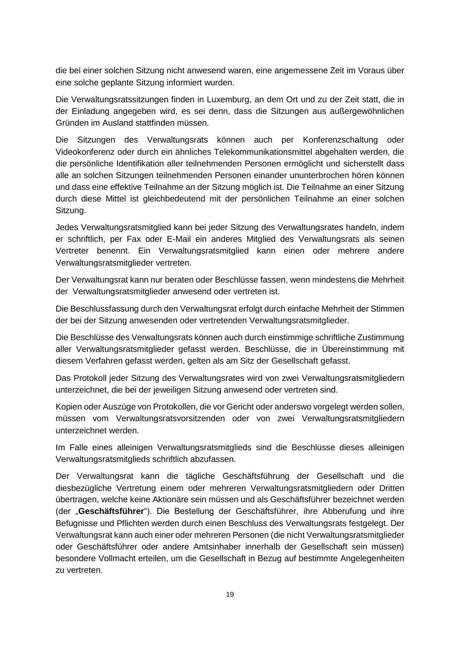die bei einer solchen Sitzung nicht anwesend waren, eine angemessene Zeit im Voraus über eine solche geplante Sitzung informiert wurden.

Die Verwaltungsratssitzungen finden in Luxemburg, an dem Ort und zu der Zeit statt, die in der Einladung angegeben wird, es sei denn, dass die Sitzungen aus außergewöhnlichen Gründen im Ausland stattfinden müssen.

Die Sitzungen des Verwaltungsrats können auch per Konferenzschaltung oder Videokonferenz oder durch ein ähnliches Telekommunikationsmittel abgehalten werden, die die persönliche Identifikation aller teilnehmenden Personen ermöglicht und sicherstellt dass alle an solchen Sitzungen teilnehmenden Personen einander ununterbrochen hören können und dass eine effektive Teilnahme an der Sitzung möglich ist. Die Teilnahme an einer Sitzung durch diese Mittel ist gleichbedeutend mit der persönlichen Teilnahme an einer solchen Sitzung.

Jedes Verwaltungsratsmitglied kann bei jeder Sitzung des Verwaltungsrates handeln, indem er schriftlich, per Fax oder E-Mail ein anderes Mitglied des Verwaltungsrats als seinen Vertreter benennt. Ein Verwaltungsratsmitglied kann einen oder mehrere andere Verwaltungsratsmitglieder vertreten.

Der Verwaltungsrat kann nur beraten oder Beschlüsse fassen, wenn mindestens die Mehrheit der Verwaltungsratsmitglieder anwesend oder vertreten ist.

Die Beschlussfassung durch den Verwaltungsrat erfolgt durch einfache Mehrheit der Stimmen der bei der Sitzung anwesenden oder vertretenden Verwaltungsratsmitglieder.

Die Beschlüsse des Verwaltungsrats können auch durch einstimmige schriftliche Zustimmung aller Verwaltungsratsmitglieder gefasst werden. Beschlüsse, die in Übereinstimmung mit diesem Verfahren gefasst werden, gelten als am Sitz der Gesellschaft gefasst.

Das Protokoll jeder Sitzung des Verwaltungsrates wird von zwei Verwaltungsratsmitgliedern unterzeichnet, die bei der jeweiligen Sitzung anwesend oder vertreten sind.

Kopien oder Auszüge von Protokollen, die vor Gericht oder anderswo vorgelegt werden sollen, müssen vom Verwaltungsratsvorsitzenden oder von zwei Verwaltungsratsmitgliedern unterzeichnet werden.

Im Falle eines alleinigen Verwaltungsratsmitglieds sind die Beschlüsse dieses alleinigen Verwaltungsratsmitglieds schriftlich abzufassen.

Der Verwaltungsrat kann die tägliche Geschäftsführung der Gesellschaft und die diesbezügliche Vertretung einem oder mehreren Verwaltungsratsmitgliedern oder Dritten übertragen, welche keine Aktionäre sein müssen und als Geschäftsführer bezeichnet werden (der "**Geschäftsführer**"). Die Bestellung der Geschäftsführer, ihre Abberufung und ihre Befugnisse und Pflichten werden durch einen Beschluss des Verwaltungsrats festgelegt. Der Verwaltungsrat kann auch einer oder mehreren Personen (die nicht Verwaltungsratsmitglieder oder Geschäftsführer oder andere Amtsinhaber innerhalb der Gesellschaft sein müssen) besondere Vollmacht erteilen, um die Gesellschaft in Bezug auf bestimmte Angelegenheiten zu vertreten.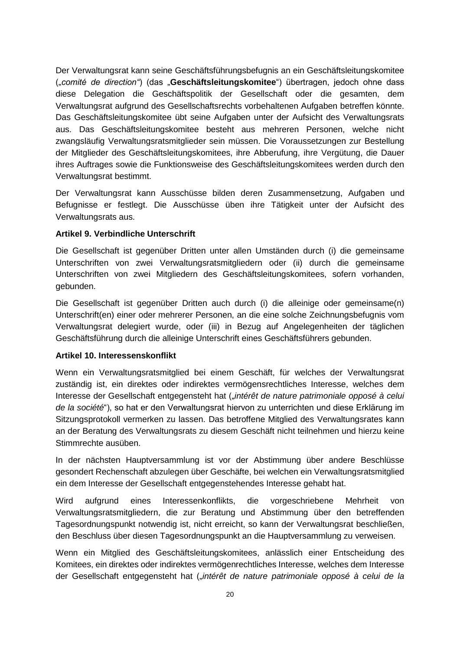Der Verwaltungsrat kann seine Geschäftsführungsbefugnis an ein Geschäftsleitungskomitee ("*comité de direction"*) (das "**Geschäftsleitungskomitee**") übertragen, jedoch ohne dass diese Delegation die Geschäftspolitik der Gesellschaft oder die gesamten, dem Verwaltungsrat aufgrund des Gesellschaftsrechts vorbehaltenen Aufgaben betreffen könnte. Das Geschäftsleitungskomitee übt seine Aufgaben unter der Aufsicht des Verwaltungsrats aus. Das Geschäftsleitungskomitee besteht aus mehreren Personen, welche nicht zwangsläufig Verwaltungsratsmitglieder sein müssen. Die Voraussetzungen zur Bestellung der Mitglieder des Geschäftsleitungskomitees, ihre Abberufung, ihre Vergütung, die Dauer ihres Auftrages sowie die Funktionsweise des Geschäftsleitungskomitees werden durch den Verwaltungsrat bestimmt.

Der Verwaltungsrat kann Ausschüsse bilden deren Zusammensetzung, Aufgaben und Befugnisse er festlegt. Die Ausschüsse üben ihre Tätigkeit unter der Aufsicht des Verwaltungsrats aus.

### **Artikel 9. Verbindliche Unterschrift**

Die Gesellschaft ist gegenüber Dritten unter allen Umständen durch (i) die gemeinsame Unterschriften von zwei Verwaltungsratsmitgliedern oder (ii) durch die gemeinsame Unterschriften von zwei Mitgliedern des Geschäftsleitungskomitees, sofern vorhanden, gebunden.

Die Gesellschaft ist gegenüber Dritten auch durch (i) die alleinige oder gemeinsame(n) Unterschrift(en) einer oder mehrerer Personen, an die eine solche Zeichnungsbefugnis vom Verwaltungsrat delegiert wurde, oder (iii) in Bezug auf Angelegenheiten der täglichen Geschäftsführung durch die alleinige Unterschrift eines Geschäftsführers gebunden.

#### **Artikel 10. Interessenskonflikt**

Wenn ein Verwaltungsratsmitglied bei einem Geschäft, für welches der Verwaltungsrat zuständig ist, ein direktes oder indirektes vermögensrechtliches Interesse, welches dem Interesse der Gesellschaft entgegensteht hat ("*intérêt de nature patrimoniale opposé à celui de la société*"), so hat er den Verwaltungsrat hiervon zu unterrichten und diese Erklärung im Sitzungsprotokoll vermerken zu lassen. Das betroffene Mitglied des Verwaltungsrates kann an der Beratung des Verwaltungsrats zu diesem Geschäft nicht teilnehmen und hierzu keine Stimmrechte ausüben.

In der nächsten Hauptversammlung ist vor der Abstimmung über andere Beschlüsse gesondert Rechenschaft abzulegen über Geschäfte, bei welchen ein Verwaltungsratsmitglied ein dem Interesse der Gesellschaft entgegenstehendes Interesse gehabt hat.

Wird aufgrund eines Interessenkonflikts, die vorgeschriebene Mehrheit von Verwaltungsratsmitgliedern, die zur Beratung und Abstimmung über den betreffenden Tagesordnungspunkt notwendig ist, nicht erreicht, so kann der Verwaltungsrat beschließen, den Beschluss über diesen Tagesordnungspunkt an die Hauptversammlung zu verweisen.

Wenn ein Mitglied des Geschäftsleitungskomitees, anlässlich einer Entscheidung des Komitees, ein direktes oder indirektes vermögenrechtliches Interesse, welches dem Interesse der Gesellschaft entgegensteht hat ("*intérêt de nature patrimoniale opposé à celui de la*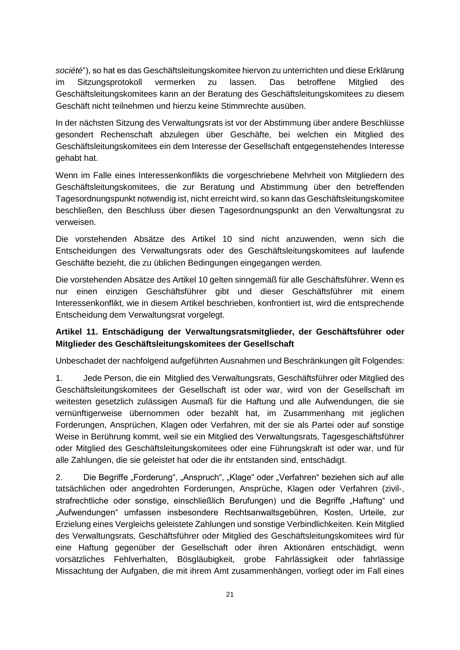*société*"), so hat es das Geschäftsleitungskomitee hiervon zu unterrichten und diese Erklärung im Sitzungsprotokoll vermerken zu lassen. Das betroffene Mitglied des Geschäftsleitungskomitees kann an der Beratung des Geschäftsleitungskomitees zu diesem Geschäft nicht teilnehmen und hierzu keine Stimmrechte ausüben.

In der nächsten Sitzung des Verwaltungsrats ist vor der Abstimmung über andere Beschlüsse gesondert Rechenschaft abzulegen über Geschäfte, bei welchen ein Mitglied des Geschäftsleitungskomitees ein dem Interesse der Gesellschaft entgegenstehendes Interesse gehabt hat.

Wenn im Falle eines Interessenkonflikts die vorgeschriebene Mehrheit von Mitgliedern des Geschäftsleitungskomitees, die zur Beratung und Abstimmung über den betreffenden Tagesordnungspunkt notwendig ist, nicht erreicht wird, so kann das Geschäftsleitungskomitee beschließen, den Beschluss über diesen Tagesordnungspunkt an den Verwaltungsrat zu verweisen.

Die vorstehenden Absätze des Artikel 10 sind nicht anzuwenden, wenn sich die Entscheidungen des Verwaltungsrats oder des Geschäftsleitungskomitees auf laufende Geschäfte bezieht, die zu üblichen Bedingungen eingegangen werden.

Die vorstehenden Absätze des Artikel 10 gelten sinngemäß für alle Geschäftsführer. Wenn es nur einen einzigen Geschäftsführer gibt und dieser Geschäftsführer mit einem Interessenkonflikt, wie in diesem Artikel beschrieben, konfrontiert ist, wird die entsprechende Entscheidung dem Verwaltungsrat vorgelegt.

# **Artikel 11. Entschädigung der Verwaltungsratsmitglieder, der Geschäftsführer oder Mitglieder des Geschäftsleitungskomitees der Gesellschaft**

Unbeschadet der nachfolgend aufgeführten Ausnahmen und Beschränkungen gilt Folgendes:

1. Jede Person, die ein Mitglied des Verwaltungsrats, Geschäftsführer oder Mitglied des Geschäftsleitungskomitees der Gesellschaft ist oder war, wird von der Gesellschaft im weitesten gesetzlich zulässigen Ausmaß für die Haftung und alle Aufwendungen, die sie vernünftigerweise übernommen oder bezahlt hat, im Zusammenhang mit jeglichen Forderungen, Ansprüchen, Klagen oder Verfahren, mit der sie als Partei oder auf sonstige Weise in Berührung kommt, weil sie ein Mitglied des Verwaltungsrats, Tagesgeschäftsführer oder Mitglied des Geschäftsleitungskomitees oder eine Führungskraft ist oder war, und für alle Zahlungen, die sie geleistet hat oder die ihr entstanden sind, entschädigt.

2. Die Begriffe "Forderung", "Anspruch", "Klage" oder "Verfahren" beziehen sich auf alle tatsächlichen oder angedrohten Forderungen, Ansprüche, Klagen oder Verfahren (zivil-, strafrechtliche oder sonstige, einschließlich Berufungen) und die Begriffe "Haftung" und "Aufwendungen" umfassen insbesondere Rechtsanwaltsgebühren, Kosten, Urteile, zur Erzielung eines Vergleichs geleistete Zahlungen und sonstige Verbindlichkeiten. Kein Mitglied des Verwaltungsrats, Geschäftsführer oder Mitglied des Geschäftsleitungskomitees wird für eine Haftung gegenüber der Gesellschaft oder ihren Aktionären entschädigt, wenn vorsätzliches Fehlverhalten, Bösgläubigkeit, grobe Fahrlässigkeit oder fahrlässige Missachtung der Aufgaben, die mit ihrem Amt zusammenhängen, vorliegt oder im Fall eines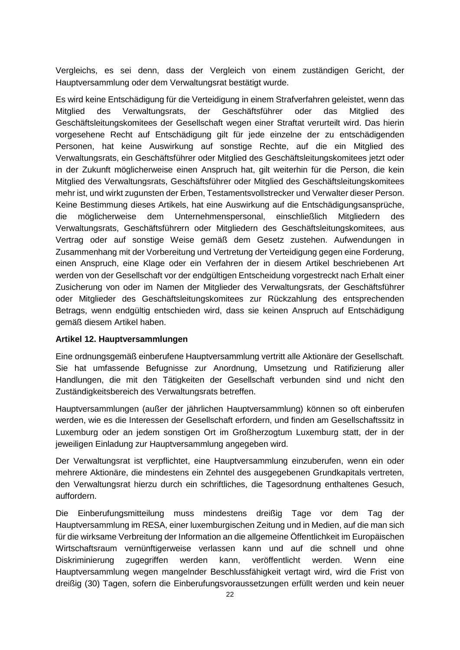Vergleichs, es sei denn, dass der Vergleich von einem zuständigen Gericht, der Hauptversammlung oder dem Verwaltungsrat bestätigt wurde.

Es wird keine Entschädigung für die Verteidigung in einem Strafverfahren geleistet, wenn das Mitglied des Verwaltungsrats, der Geschäftsführer oder das Mitglied des Geschäftsleitungskomitees der Gesellschaft wegen einer Straftat verurteilt wird. Das hierin vorgesehene Recht auf Entschädigung gilt für jede einzelne der zu entschädigenden Personen, hat keine Auswirkung auf sonstige Rechte, auf die ein Mitglied des Verwaltungsrats, ein Geschäftsführer oder Mitglied des Geschäftsleitungskomitees jetzt oder in der Zukunft möglicherweise einen Anspruch hat, gilt weiterhin für die Person, die kein Mitglied des Verwaltungsrats, Geschäftsführer oder Mitglied des Geschäftsleitungskomitees mehr ist, und wirkt zugunsten der Erben, Testamentsvollstrecker und Verwalter dieser Person. Keine Bestimmung dieses Artikels, hat eine Auswirkung auf die Entschädigungsansprüche, die möglicherweise dem Unternehmenspersonal, einschließlich Mitgliedern des Verwaltungsrats, Geschäftsführern oder Mitgliedern des Geschäftsleitungskomitees, aus Vertrag oder auf sonstige Weise gemäß dem Gesetz zustehen. Aufwendungen in Zusammenhang mit der Vorbereitung und Vertretung der Verteidigung gegen eine Forderung, einen Anspruch, eine Klage oder ein Verfahren der in diesem Artikel beschriebenen Art werden von der Gesellschaft vor der endgültigen Entscheidung vorgestreckt nach Erhalt einer Zusicherung von oder im Namen der Mitglieder des Verwaltungsrats, der Geschäftsführer oder Mitglieder des Geschäftsleitungskomitees zur Rückzahlung des entsprechenden Betrags, wenn endgültig entschieden wird, dass sie keinen Anspruch auf Entschädigung gemäß diesem Artikel haben.

### **Artikel 12. Hauptversammlungen**

Eine ordnungsgemäß einberufene Hauptversammlung vertritt alle Aktionäre der Gesellschaft. Sie hat umfassende Befugnisse zur Anordnung, Umsetzung und Ratifizierung aller Handlungen, die mit den Tätigkeiten der Gesellschaft verbunden sind und nicht den Zuständigkeitsbereich des Verwaltungsrats betreffen.

Hauptversammlungen (außer der jährlichen Hauptversammlung) können so oft einberufen werden, wie es die Interessen der Gesellschaft erfordern, und finden am Gesellschaftssitz in Luxemburg oder an jedem sonstigen Ort im Großherzogtum Luxemburg statt, der in der jeweiligen Einladung zur Hauptversammlung angegeben wird.

Der Verwaltungsrat ist verpflichtet, eine Hauptversammlung einzuberufen, wenn ein oder mehrere Aktionäre, die mindestens ein Zehntel des ausgegebenen Grundkapitals vertreten, den Verwaltungsrat hierzu durch ein schriftliches, die Tagesordnung enthaltenes Gesuch, auffordern.

Die Einberufungsmitteilung muss mindestens dreißig Tage vor dem Tag der Hauptversammlung im RESA, einer luxemburgischen Zeitung und in Medien, auf die man sich für die wirksame Verbreitung der Information an die allgemeine Öffentlichkeit im Europäischen Wirtschaftsraum vernünftigerweise verlassen kann und auf die schnell und ohne Diskriminierung zugegriffen werden kann, veröffentlicht werden. Wenn eine Hauptversammlung wegen mangelnder Beschlussfähigkeit vertagt wird, wird die Frist von dreißig (30) Tagen, sofern die Einberufungsvoraussetzungen erfüllt werden und kein neuer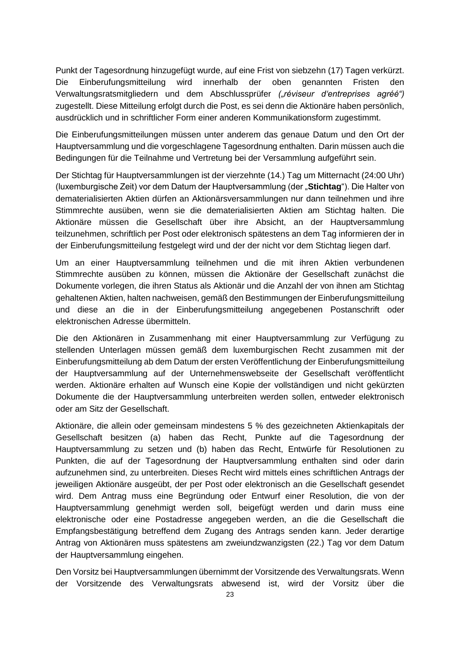Punkt der Tagesordnung hinzugefügt wurde, auf eine Frist von siebzehn (17) Tagen verkürzt. Die Einberufungsmitteilung wird innerhalb der oben genannten Fristen den Verwaltungsratsmitgliedern und dem Abschlussprüfer *("réviseur d'entreprises agréé")*  zugestellt. Diese Mitteilung erfolgt durch die Post, es sei denn die Aktionäre haben persönlich, ausdrücklich und in schriftlicher Form einer anderen Kommunikationsform zugestimmt.

Die Einberufungsmitteilungen müssen unter anderem das genaue Datum und den Ort der Hauptversammlung und die vorgeschlagene Tagesordnung enthalten. Darin müssen auch die Bedingungen für die Teilnahme und Vertretung bei der Versammlung aufgeführt sein.

Der Stichtag für Hauptversammlungen ist der vierzehnte (14.) Tag um Mitternacht (24:00 Uhr) (luxemburgische Zeit) vor dem Datum der Hauptversammlung (der "**Stichtag**"). Die Halter von dematerialisierten Aktien dürfen an Aktionärsversammlungen nur dann teilnehmen und ihre Stimmrechte ausüben, wenn sie die dematerialisierten Aktien am Stichtag halten. Die Aktionäre müssen die Gesellschaft über ihre Absicht, an der Hauptversammlung teilzunehmen, schriftlich per Post oder elektronisch spätestens an dem Tag informieren der in der Einberufungsmitteilung festgelegt wird und der der nicht vor dem Stichtag liegen darf.

Um an einer Hauptversammlung teilnehmen und die mit ihren Aktien verbundenen Stimmrechte ausüben zu können, müssen die Aktionäre der Gesellschaft zunächst die Dokumente vorlegen, die ihren Status als Aktionär und die Anzahl der von ihnen am Stichtag gehaltenen Aktien, halten nachweisen, gemäß den Bestimmungen der Einberufungsmitteilung und diese an die in der Einberufungsmitteilung angegebenen Postanschrift oder elektronischen Adresse übermitteln.

Die den Aktionären in Zusammenhang mit einer Hauptversammlung zur Verfügung zu stellenden Unterlagen müssen gemäß dem luxemburgischen Recht zusammen mit der Einberufungsmitteilung ab dem Datum der ersten Veröffentlichung der Einberufungsmitteilung der Hauptversammlung auf der Unternehmenswebseite der Gesellschaft veröffentlicht werden. Aktionäre erhalten auf Wunsch eine Kopie der vollständigen und nicht gekürzten Dokumente die der Hauptversammlung unterbreiten werden sollen, entweder elektronisch oder am Sitz der Gesellschaft.

Aktionäre, die allein oder gemeinsam mindestens 5 % des gezeichneten Aktienkapitals der Gesellschaft besitzen (a) haben das Recht, Punkte auf die Tagesordnung der Hauptversammlung zu setzen und (b) haben das Recht, Entwürfe für Resolutionen zu Punkten, die auf der Tagesordnung der Hauptversammlung enthalten sind oder darin aufzunehmen sind, zu unterbreiten. Dieses Recht wird mittels eines schriftlichen Antrags der jeweiligen Aktionäre ausgeübt, der per Post oder elektronisch an die Gesellschaft gesendet wird. Dem Antrag muss eine Begründung oder Entwurf einer Resolution, die von der Hauptversammlung genehmigt werden soll, beigefügt werden und darin muss eine elektronische oder eine Postadresse angegeben werden, an die die Gesellschaft die Empfangsbestätigung betreffend dem Zugang des Antrags senden kann. Jeder derartige Antrag von Aktionären muss spätestens am zweiundzwanzigsten (22.) Tag vor dem Datum der Hauptversammlung eingehen.

Den Vorsitz bei Hauptversammlungen übernimmt der Vorsitzende des Verwaltungsrats. Wenn der Vorsitzende des Verwaltungsrats abwesend ist, wird der Vorsitz über die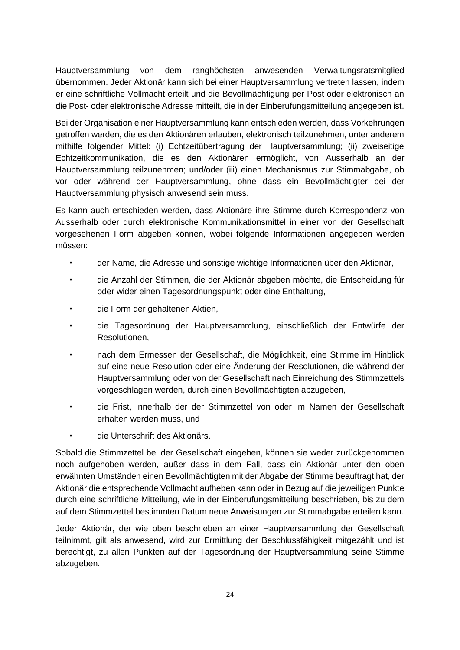Hauptversammlung von dem ranghöchsten anwesenden Verwaltungsratsmitglied übernommen. Jeder Aktionär kann sich bei einer Hauptversammlung vertreten lassen, indem er eine schriftliche Vollmacht erteilt und die Bevollmächtigung per Post oder elektronisch an die Post- oder elektronische Adresse mitteilt, die in der Einberufungsmitteilung angegeben ist.

Bei der Organisation einer Hauptversammlung kann entschieden werden, dass Vorkehrungen getroffen werden, die es den Aktionären erlauben, elektronisch teilzunehmen, unter anderem mithilfe folgender Mittel: (i) Echtzeitübertragung der Hauptversammlung; (ii) zweiseitige Echtzeitkommunikation, die es den Aktionären ermöglicht, von Ausserhalb an der Hauptversammlung teilzunehmen; und/oder (iii) einen Mechanismus zur Stimmabgabe, ob vor oder während der Hauptversammlung, ohne dass ein Bevollmächtigter bei der Hauptversammlung physisch anwesend sein muss.

Es kann auch entschieden werden, dass Aktionäre ihre Stimme durch Korrespondenz von Ausserhalb oder durch elektronische Kommunikationsmittel in einer von der Gesellschaft vorgesehenen Form abgeben können, wobei folgende Informationen angegeben werden müssen:

- der Name, die Adresse und sonstige wichtige Informationen über den Aktionär,
- die Anzahl der Stimmen, die der Aktionär abgeben möchte, die Entscheidung für oder wider einen Tagesordnungspunkt oder eine Enthaltung,
- die Form der gehaltenen Aktien,
- die Tagesordnung der Hauptversammlung, einschließlich der Entwürfe der Resolutionen,
- nach dem Ermessen der Gesellschaft, die Möglichkeit, eine Stimme im Hinblick auf eine neue Resolution oder eine Änderung der Resolutionen, die während der Hauptversammlung oder von der Gesellschaft nach Einreichung des Stimmzettels vorgeschlagen werden, durch einen Bevollmächtigten abzugeben,
- die Frist, innerhalb der der Stimmzettel von oder im Namen der Gesellschaft erhalten werden muss, und
- die Unterschrift des Aktionärs.

Sobald die Stimmzettel bei der Gesellschaft eingehen, können sie weder zurückgenommen noch aufgehoben werden, außer dass in dem Fall, dass ein Aktionär unter den oben erwähnten Umständen einen Bevollmächtigten mit der Abgabe der Stimme beauftragt hat, der Aktionär die entsprechende Vollmacht aufheben kann oder in Bezug auf die jeweiligen Punkte durch eine schriftliche Mitteilung, wie in der Einberufungsmitteilung beschrieben, bis zu dem auf dem Stimmzettel bestimmten Datum neue Anweisungen zur Stimmabgabe erteilen kann.

Jeder Aktionär, der wie oben beschrieben an einer Hauptversammlung der Gesellschaft teilnimmt, gilt als anwesend, wird zur Ermittlung der Beschlussfähigkeit mitgezählt und ist berechtigt, zu allen Punkten auf der Tagesordnung der Hauptversammlung seine Stimme abzugeben.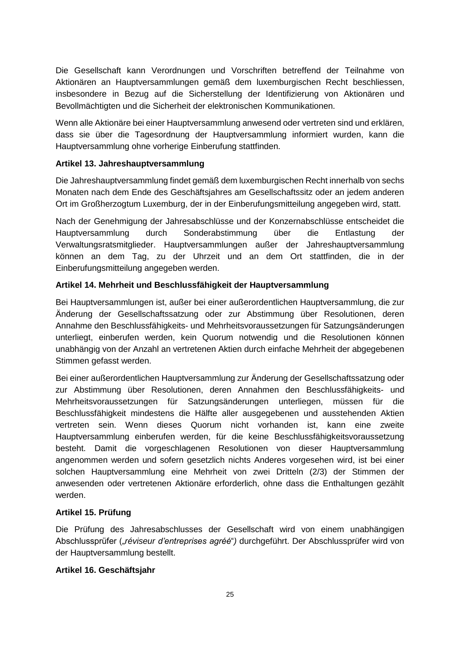Die Gesellschaft kann Verordnungen und Vorschriften betreffend der Teilnahme von Aktionären an Hauptversammlungen gemäß dem luxemburgischen Recht beschliessen, insbesondere in Bezug auf die Sicherstellung der Identifizierung von Aktionären und Bevollmächtigten und die Sicherheit der elektronischen Kommunikationen.

Wenn alle Aktionäre bei einer Hauptversammlung anwesend oder vertreten sind und erklären, dass sie über die Tagesordnung der Hauptversammlung informiert wurden, kann die Hauptversammlung ohne vorherige Einberufung stattfinden.

## **Artikel 13. Jahreshauptversammlung**

Die Jahreshauptversammlung findet gemäß dem luxemburgischen Recht innerhalb von sechs Monaten nach dem Ende des Geschäftsjahres am Gesellschaftssitz oder an jedem anderen Ort im Großherzogtum Luxemburg, der in der Einberufungsmitteilung angegeben wird, statt.

Nach der Genehmigung der Jahresabschlüsse und der Konzernabschlüsse entscheidet die Hauptversammlung durch Sonderabstimmung über die Entlastung der Verwaltungsratsmitglieder. Hauptversammlungen außer der Jahreshauptversammlung können an dem Tag, zu der Uhrzeit und an dem Ort stattfinden, die in der Einberufungsmitteilung angegeben werden.

# **Artikel 14. Mehrheit und Beschlussfähigkeit der Hauptversammlung**

Bei Hauptversammlungen ist, außer bei einer außerordentlichen Hauptversammlung, die zur Änderung der Gesellschaftssatzung oder zur Abstimmung über Resolutionen, deren Annahme den Beschlussfähigkeits- und Mehrheitsvoraussetzungen für Satzungsänderungen unterliegt, einberufen werden, kein Quorum notwendig und die Resolutionen können unabhängig von der Anzahl an vertretenen Aktien durch einfache Mehrheit der abgegebenen Stimmen gefasst werden.

Bei einer außerordentlichen Hauptversammlung zur Änderung der Gesellschaftssatzung oder zur Abstimmung über Resolutionen, deren Annahmen den Beschlussfähigkeits- und Mehrheitsvoraussetzungen für Satzungsänderungen unterliegen, müssen für die Beschlussfähigkeit mindestens die Hälfte aller ausgegebenen und ausstehenden Aktien vertreten sein. Wenn dieses Quorum nicht vorhanden ist, kann eine zweite Hauptversammlung einberufen werden, für die keine Beschlussfähigkeitsvoraussetzung besteht. Damit die vorgeschlagenen Resolutionen von dieser Hauptversammlung angenommen werden und sofern gesetzlich nichts Anderes vorgesehen wird, ist bei einer solchen Hauptversammlung eine Mehrheit von zwei Dritteln (2/3) der Stimmen der anwesenden oder vertretenen Aktionäre erforderlich, ohne dass die Enthaltungen gezählt werden.

# **Artikel 15. Prüfung**

Die Prüfung des Jahresabschlusses der Gesellschaft wird von einem unabhängigen Abschlussprüfer ("réviseur d'entreprises agréé") durchgeführt. Der Abschlussprüfer wird von der Hauptversammlung bestellt.

### **Artikel 16. Geschäftsjahr**